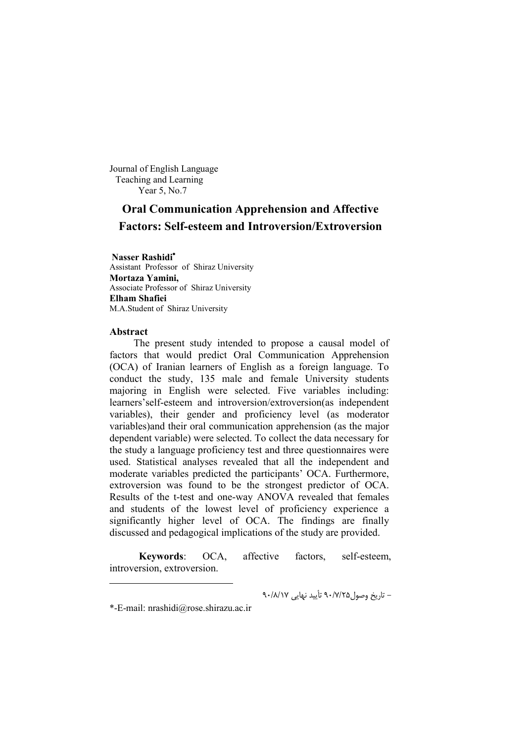Journal of English Language Teaching and Learning Year 5, No.7

# **Oral Communication Apprehension and Affective Factors: Self-esteem and Introversion/Extroversion**

**Nasser Rashidi** Assistant Professor of Shiraz University **Mortaza Yamini,** Associate Professor of Shiraz University **Elham Shafiei** M.A.Student of Shiraz University

#### **Abstract**

-

The present study intended to propose a causal model of factors that would predict Oral Communication Apprehension (OCA) of Iranian learners of English as a foreign language. To conduct the study, 135 male and female University students majoring in English were selected. Five variables including: learners'self-esteem and introversion/extroversion(as independent variables), their gender and proficiency level (as moderator variables)and their oral communication apprehension (as the major dependent variable) were selected. To collect the data necessary for the study a language proficiency test and three questionnaires were used. Statistical analyses revealed that all the independent and moderate variables predicted the participants' OCA. Furthermore, extroversion was found to be the strongest predictor of OCA. Results of the t-test and one-way ANOVA revealed that females and students of the lowest level of proficiency experience a significantly higher level of OCA. The findings are finally discussed and pedagogical implications of the study are provided.

 **Keywords**: OCA, affective factors, self-esteem, introversion, extroversion.

- تاریخ وصول25 /7/ 90 تأیید نهایی 17 /8/ 90

<sup>\*-</sup>E-mail: nrashidi@rose.shirazu.ac.ir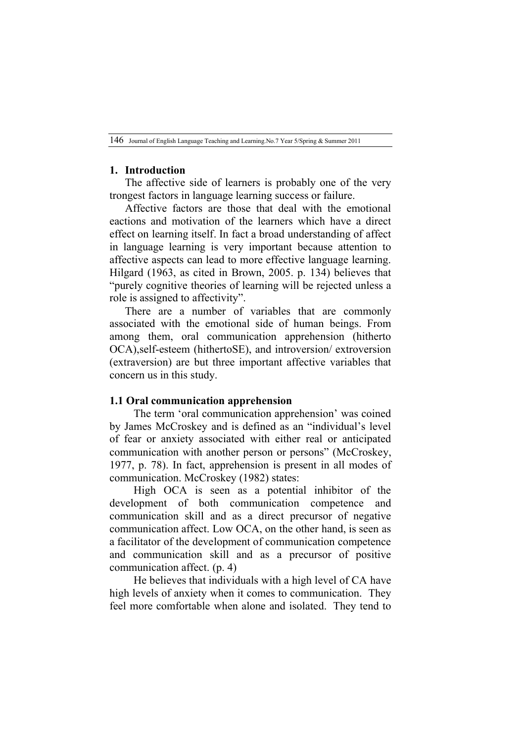### **1. Introduction**

The affective side of learners is probably one of the very trongest factors in language learning success or failure.

Affective factors are those that deal with the emotional eactions and motivation of the learners which have a direct effect on learning itself. In fact a broad understanding of affect in language learning is very important because attention to affective aspects can lead to more effective language learning. Hilgard (1963, as cited in Brown, 2005. p. 134) believes that "purely cognitive theories of learning will be rejected unless a role is assigned to affectivity".

There are a number of variables that are commonly associated with the emotional side of human beings. From among them, oral communication apprehension (hitherto OCA),self-esteem (hithertoSE), and introversion/ extroversion (extraversion) are but three important affective variables that concern us in this study.

### **1.1 Oral communication apprehension**

The term 'oral communication apprehension' was coined by James McCroskey and is defined as an "individual's level of fear or anxiety associated with either real or anticipated communication with another person or persons" (McCroskey, 1977, p. 78). In fact, apprehension is present in all modes of communication. McCroskey (1982) states:

High OCA is seen as a potential inhibitor of the development of both communication competence and communication skill and as a direct precursor of negative communication affect. Low OCA, on the other hand, is seen as a facilitator of the development of communication competence and communication skill and as a precursor of positive communication affect. (p. 4)

He believes that individuals with a high level of CA have high levels of anxiety when it comes to communication. They feel more comfortable when alone and isolated. They tend to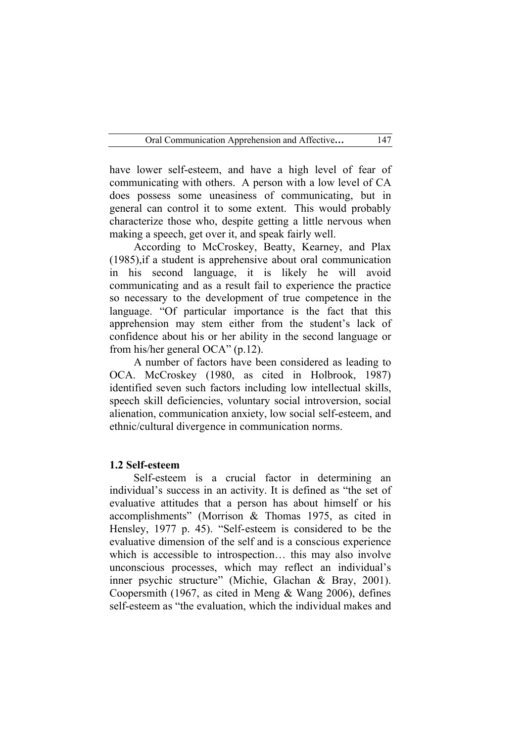have lower self-esteem, and have a high level of fear of communicating with others. A person with a low level of CA does possess some uneasiness of communicating, but in general can control it to some extent. This would probably characterize those who, despite getting a little nervous when making a speech, get over it, and speak fairly well.

According to McCroskey, Beatty, Kearney, and Plax (1985),if a student is apprehensive about oral communication in his second language, it is likely he will avoid communicating and as a result fail to experience the practice so necessary to the development of true competence in the language. "Of particular importance is the fact that this apprehension may stem either from the student's lack of confidence about his or her ability in the second language or from his/her general OCA" (p.12).

A number of factors have been considered as leading to OCA. McCroskey (1980, as cited in Holbrook, 1987) identified seven such factors including low intellectual skills, speech skill deficiencies, voluntary social introversion, social alienation, communication anxiety, low social self-esteem, and ethnic/cultural divergence in communication norms.

### **1.2 Self-esteem**

Self-esteem is a crucial factor in determining an individual's success in an activity. It is defined as "the set of evaluative attitudes that a person has about himself or his accomplishments" (Morrison & Thomas 1975, as cited in Hensley, 1977 p. 45). "Self-esteem is considered to be the evaluative dimension of the self and is a conscious experience which is accessible to introspection... this may also involve unconscious processes, which may reflect an individual's inner psychic structure" (Michie, Glachan & Bray, 2001). Coopersmith (1967, as cited in Meng & Wang 2006), defines self-esteem as "the evaluation, which the individual makes and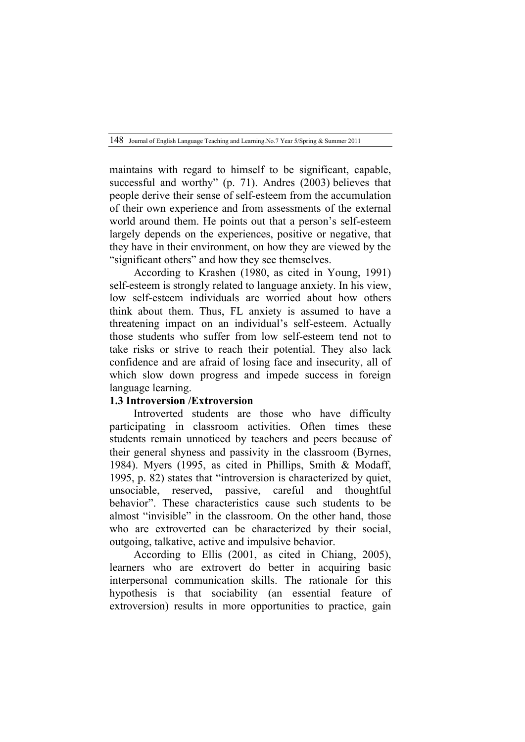maintains with regard to himself to be significant, capable, successful and worthy" (p. 71). Andres (2003) believes that people derive their sense of self-esteem from the accumulation of their own experience and from assessments of the external world around them. He points out that a person's self-esteem largely depends on the experiences, positive or negative, that they have in their environment, on how they are viewed by the "significant others" and how they see themselves.

According to Krashen (1980, as cited in Young, 1991) self-esteem is strongly related to language anxiety. In his view, low self-esteem individuals are worried about how others think about them. Thus, FL anxiety is assumed to have a threatening impact on an individual's self-esteem. Actually those students who suffer from low self-esteem tend not to take risks or strive to reach their potential. They also lack confidence and are afraid of losing face and insecurity, all of which slow down progress and impede success in foreign language learning.

## **1.3 Introversion /Extroversion**

Introverted students are those who have difficulty participating in classroom activities. Often times these students remain unnoticed by teachers and peers because of their general shyness and passivity in the classroom (Byrnes, 1984). Myers (1995, as cited in Phillips, Smith & Modaff, 1995, p. 82) states that "introversion is characterized by quiet, unsociable, reserved, passive, careful and thoughtful behavior". These characteristics cause such students to be almost "invisible" in the classroom. On the other hand, those who are extroverted can be characterized by their social, outgoing, talkative, active and impulsive behavior.

According to Ellis (2001, as cited in Chiang, 2005), learners who are extrovert do better in acquiring basic interpersonal communication skills. The rationale for this hypothesis is that sociability (an essential feature of extroversion) results in more opportunities to practice, gain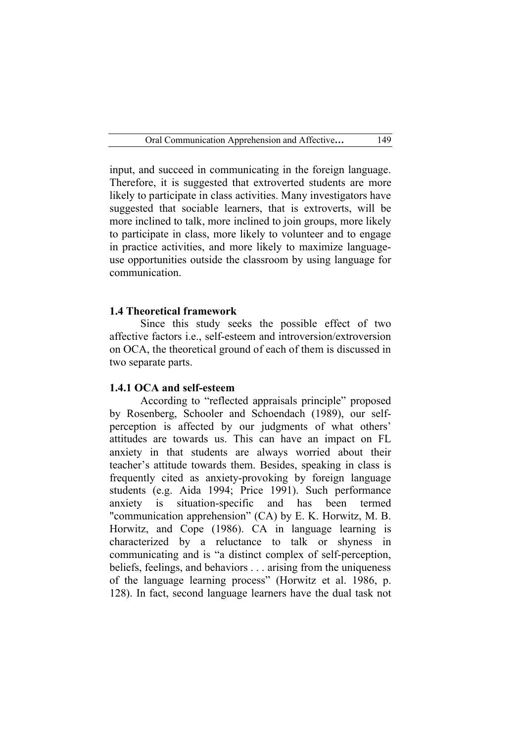input, and succeed in communicating in the foreign language. Therefore, it is suggested that extroverted students are more likely to participate in class activities. Many investigators have suggested that sociable learners, that is extroverts, will be more inclined to talk, more inclined to join groups, more likely to participate in class, more likely to volunteer and to engage in practice activities, and more likely to maximize languageuse opportunities outside the classroom by using language for communication.

#### **1.4 Theoretical framework**

Since this study seeks the possible effect of two affective factors i.e., self-esteem and introversion/extroversion on OCA, the theoretical ground of each of them is discussed in two separate parts.

#### **1.4.1 OCA and self-esteem**

According to "reflected appraisals principle" proposed by Rosenberg, Schooler and Schoendach (1989), our selfperception is affected by our judgments of what others' attitudes are towards us. This can have an impact on FL anxiety in that students are always worried about their teacher's attitude towards them. Besides, speaking in class is frequently cited as anxiety-provoking by foreign language students (e.g. Aida 1994; Price 1991). Such performance anxiety is situation-specific and has been termed "communication apprehension" (CA) by E. K. Horwitz, M. B. Horwitz, and Cope (1986). CA in language learning is characterized by a reluctance to talk or shyness in communicating and is "a distinct complex of self-perception, beliefs, feelings, and behaviors . . . arising from the uniqueness of the language learning process" (Horwitz et al. 1986, p. 128). In fact, second language learners have the dual task not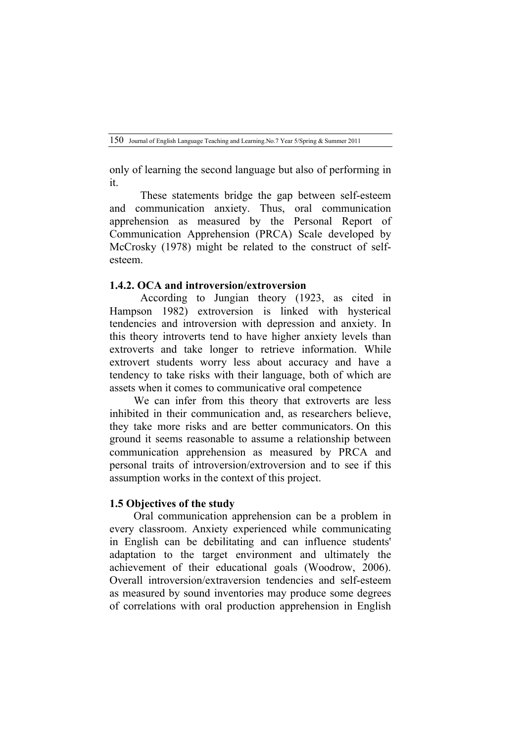only of learning the second language but also of performing in it.

These statements bridge the gap between self-esteem and communication anxiety. Thus, oral communication apprehension as measured by the Personal Report of Communication Apprehension (PRCA) Scale developed by McCrosky (1978) might be related to the construct of selfesteem.

#### **1.4.2. OCA and introversion/extroversion**

According to Jungian theory (1923, as cited in Hampson 1982) extroversion is linked with hysterical tendencies and introversion with depression and anxiety. In this theory introverts tend to have higher anxiety levels than extroverts and take longer to retrieve information. While extrovert students worry less about accuracy and have a tendency to take risks with their language, both of which are assets when it comes to communicative oral competence

We can infer from this theory that extroverts are less inhibited in their communication and, as researchers believe, they take more risks and are better communicators. On this ground it seems reasonable to assume a relationship between communication apprehension as measured by PRCA and personal traits of introversion/extroversion and to see if this assumption works in the context of this project.

### **1.5 Objectives of the study**

Oral communication apprehension can be a problem in every classroom. Anxiety experienced while communicating in English can be debilitating and can influence students' adaptation to the target environment and ultimately the achievement of their educational goals (Woodrow, 2006). Overall introversion/extraversion tendencies and self-esteem as measured by sound inventories may produce some degrees of correlations with oral production apprehension in English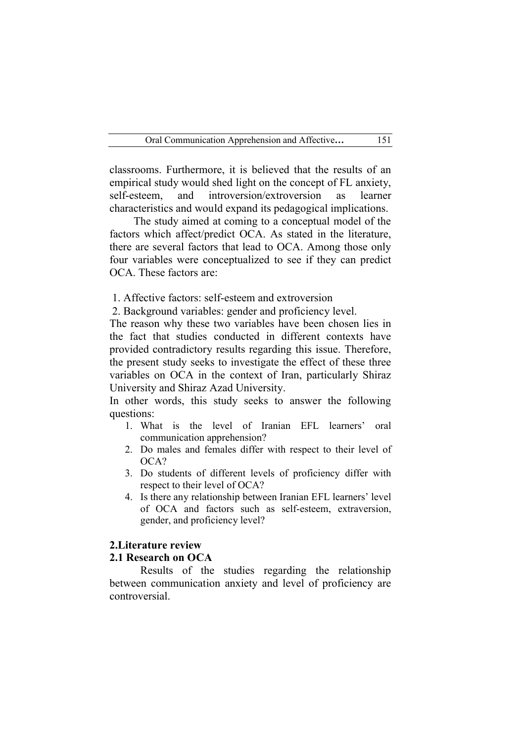classrooms. Furthermore, it is believed that the results of an empirical study would shed light on the concept of FL anxiety, self-esteem, and introversion/extroversion as learner characteristics and would expand its pedagogical implications.

The study aimed at coming to a conceptual model of the factors which affect/predict OCA. As stated in the literature, there are several factors that lead to OCA. Among those only four variables were conceptualized to see if they can predict OCA. These factors are:

1. Affective factors: self-esteem and extroversion

2. Background variables: gender and proficiency level.

The reason why these two variables have been chosen lies in the fact that studies conducted in different contexts have provided contradictory results regarding this issue. Therefore, the present study seeks to investigate the effect of these three variables on OCA in the context of Iran, particularly Shiraz University and Shiraz Azad University.

In other words, this study seeks to answer the following questions:

- 1. What is the level of Iranian EFL learners' oral communication apprehension?
- 2. Do males and females differ with respect to their level of OCA?
- 3. Do students of different levels of proficiency differ with respect to their level of OCA?
- 4. Is there any relationship between Iranian EFL learners' level of OCA and factors such as self-esteem, extraversion, gender, and proficiency level?

### **2.Literature review**

### **2.1 Research on OCA**

Results of the studies regarding the relationship between communication anxiety and level of proficiency are controversial.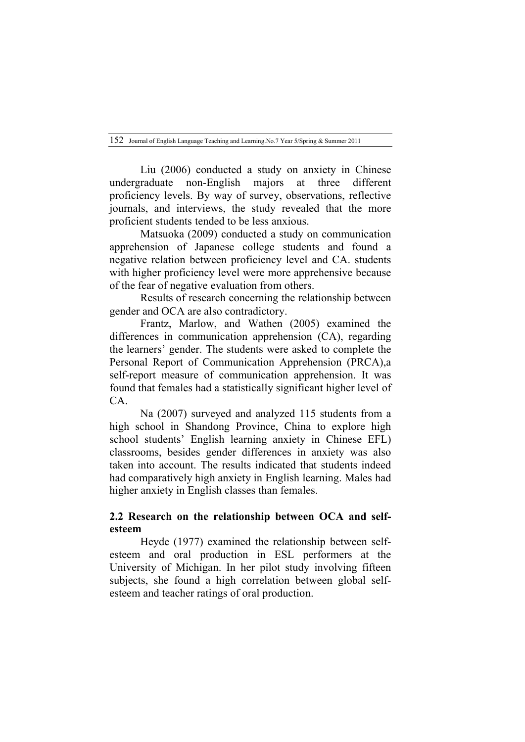Liu (2006) conducted a study on anxiety in Chinese undergraduate non-English majors at three different proficiency levels. By way of survey, observations, reflective journals, and interviews, the study revealed that the more proficient students tended to be less anxious.

Matsuoka (2009) conducted a study on communication apprehension of Japanese college students and found a negative relation between proficiency level and CA. students with higher proficiency level were more apprehensive because of the fear of negative evaluation from others.

Results of research concerning the relationship between gender and OCA are also contradictory.

Frantz, Marlow, and Wathen (2005) examined the differences in communication apprehension (CA), regarding the learners' gender. The students were asked to complete the Personal Report of Communication Apprehension (PRCA),a self-report measure of communication apprehension. It was found that females had a statistically significant higher level of CA.

Na (2007) surveyed and analyzed 115 students from a high school in Shandong Province, China to explore high school students' English learning anxiety in Chinese EFL) classrooms, besides gender differences in anxiety was also taken into account. The results indicated that students indeed had comparatively high anxiety in English learning. Males had higher anxiety in English classes than females.

## **2.2 Research on the relationship between OCA and selfesteem**

Heyde (1977) examined the relationship between selfesteem and oral production in ESL performers at the University of Michigan. In her pilot study involving fifteen subjects, she found a high correlation between global selfesteem and teacher ratings of oral production.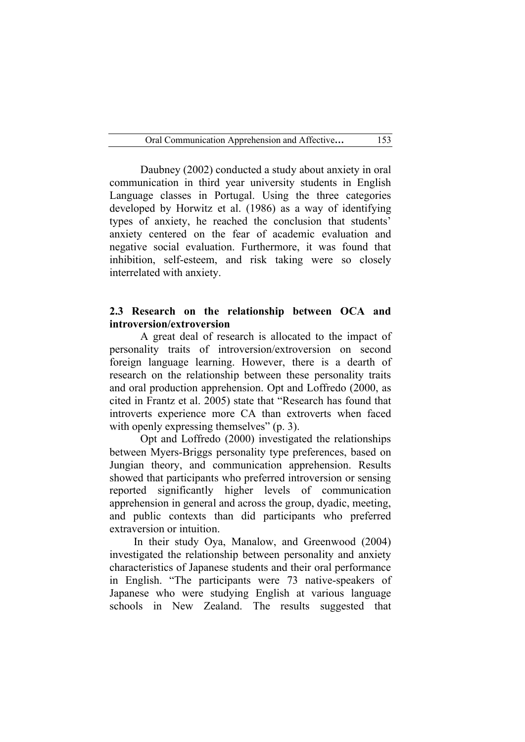Daubney (2002) conducted a study about anxiety in oral communication in third year university students in English Language classes in Portugal. Using the three categories developed by Horwitz et al. (1986) as a way of identifying types of anxiety, he reached the conclusion that students' anxiety centered on the fear of academic evaluation and negative social evaluation. Furthermore, it was found that inhibition, self-esteem, and risk taking were so closely interrelated with anxiety.

### **2.3 Research on the relationship between OCA and introversion/extroversion**

A great deal of research is allocated to the impact of personality traits of introversion/extroversion on second foreign language learning. However, there is a dearth of research on the relationship between these personality traits and oral production apprehension. Opt and Loffredo (2000, as cited in Frantz et al. 2005) state that "Research has found that introverts experience more CA than extroverts when faced with openly expressing themselves" (p. 3).

Opt and Loffredo (2000) investigated the relationships between Myers-Briggs personality type preferences, based on Jungian theory, and communication apprehension. Results showed that participants who preferred introversion or sensing reported significantly higher levels of communication apprehension in general and across the group, dyadic, meeting, and public contexts than did participants who preferred extraversion or intuition.

In their study Oya, Manalow, and Greenwood (2004) investigated the relationship between personality and anxiety characteristics of Japanese students and their oral performance in English. "The participants were 73 native-speakers of Japanese who were studying English at various language schools in New Zealand. The results suggested that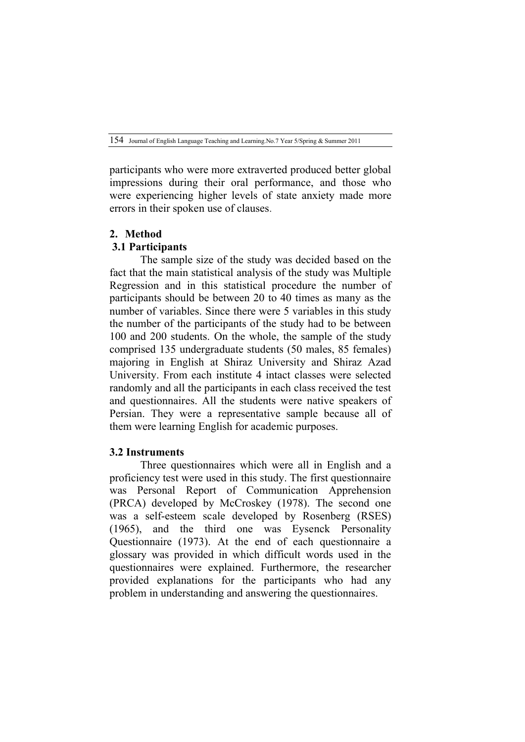participants who were more extraverted produced better global impressions during their oral performance, and those who were experiencing higher levels of state anxiety made more errors in their spoken use of clauses.

# **2. Method**

# **3.1 Participants**

The sample size of the study was decided based on the fact that the main statistical analysis of the study was Multiple Regression and in this statistical procedure the number of participants should be between 20 to 40 times as many as the number of variables. Since there were 5 variables in this study the number of the participants of the study had to be between 100 and 200 students. On the whole, the sample of the study comprised 135 undergraduate students (50 males, 85 females) majoring in English at Shiraz University and Shiraz Azad University. From each institute 4 intact classes were selected randomly and all the participants in each class received the test and questionnaires. All the students were native speakers of Persian. They were a representative sample because all of them were learning English for academic purposes.

# **3.2 Instruments**

Three questionnaires which were all in English and a proficiency test were used in this study. The first questionnaire was Personal Report of Communication Apprehension (PRCA) developed by McCroskey (1978). The second one was a self-esteem scale developed by Rosenberg (RSES) (1965), and the third one was Eysenck Personality Questionnaire (1973). At the end of each questionnaire a glossary was provided in which difficult words used in the questionnaires were explained. Furthermore, the researcher provided explanations for the participants who had any problem in understanding and answering the questionnaires.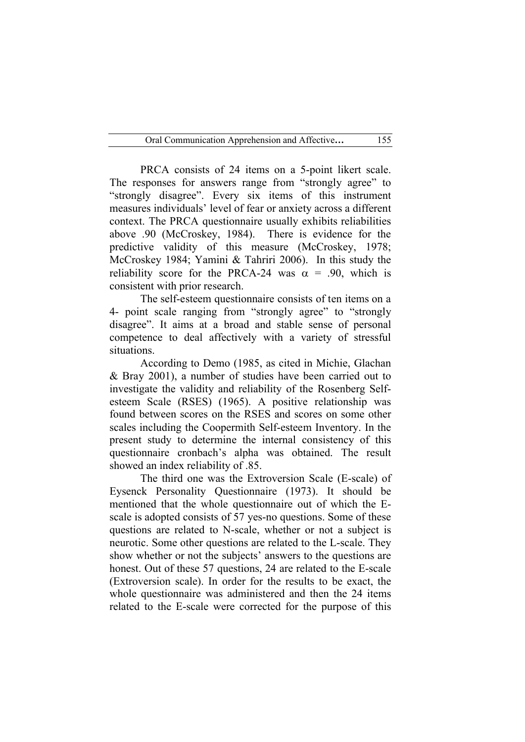PRCA consists of 24 items on a 5-point likert scale. The responses for answers range from "strongly agree" to "strongly disagree". Every six items of this instrument measures individuals' level of fear or anxiety across a different context. The PRCA questionnaire usually exhibits reliabilities above .90 (McCroskey, 1984). There is evidence for the predictive validity of this measure (McCroskey, 1978; McCroskey 1984; Yamini & Tahriri 2006). In this study the reliability score for the PRCA-24 was  $\alpha = .90$ , which is consistent with prior research.

The self-esteem questionnaire consists of ten items on a 4- point scale ranging from "strongly agree" to "strongly disagree". It aims at a broad and stable sense of personal competence to deal affectively with a variety of stressful situations.

According to Demo (1985, as cited in Michie, Glachan & Bray 2001), a number of studies have been carried out to investigate the validity and reliability of the Rosenberg Selfesteem Scale (RSES) (1965). A positive relationship was found between scores on the RSES and scores on some other scales including the Coopermith Self-esteem Inventory. In the present study to determine the internal consistency of this questionnaire cronbach's alpha was obtained. The result showed an index reliability of .85.

The third one was the Extroversion Scale (E-scale) of Eysenck Personality Questionnaire (1973). It should be mentioned that the whole questionnaire out of which the Escale is adopted consists of 57 yes-no questions. Some of these questions are related to N-scale, whether or not a subject is neurotic. Some other questions are related to the L-scale. They show whether or not the subjects' answers to the questions are honest. Out of these 57 questions, 24 are related to the E-scale (Extroversion scale). In order for the results to be exact, the whole questionnaire was administered and then the 24 items related to the E-scale were corrected for the purpose of this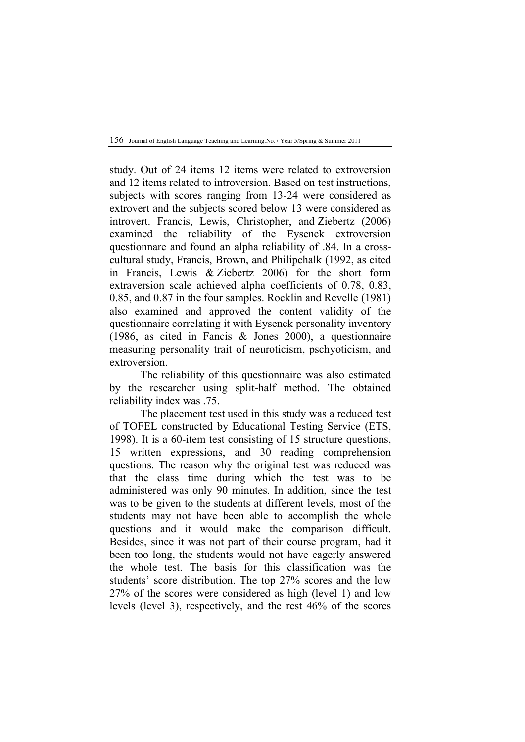study. Out of 24 items 12 items were related to extroversion and 12 items related to introversion. Based on test instructions, subjects with scores ranging from 13-24 were considered as extrovert and the subjects scored below 13 were considered as introvert. Francis, Lewis, Christopher, and Ziebertz (2006) examined the reliability of the Eysenck extroversion questionnare and found an alpha reliability of .84. In a crosscultural study, Francis, Brown, and Philipchalk (1992, as cited in Francis, Lewis & Ziebertz 2006) for the short form extraversion scale achieved alpha coefficients of 0.78, 0.83, 0.85, and 0.87 in the four samples. Rocklin and Revelle (1981) also examined and approved the content validity of the questionnaire correlating it with Eysenck personality inventory (1986, as cited in Fancis & Jones 2000), a questionnaire measuring personality trait of neuroticism, pschyoticism, and extroversion.

The reliability of this questionnaire was also estimated by the researcher using split-half method. The obtained reliability index was .75.

The placement test used in this study was a reduced test of TOFEL constructed by Educational Testing Service (ETS, 1998). It is a 60-item test consisting of 15 structure questions, 15 written expressions, and 30 reading comprehension questions. The reason why the original test was reduced was that the class time during which the test was to be administered was only 90 minutes. In addition, since the test was to be given to the students at different levels, most of the students may not have been able to accomplish the whole questions and it would make the comparison difficult. Besides, since it was not part of their course program, had it been too long, the students would not have eagerly answered the whole test. The basis for this classification was the students' score distribution. The top 27% scores and the low 27% of the scores were considered as high (level 1) and low levels (level 3), respectively, and the rest 46% of the scores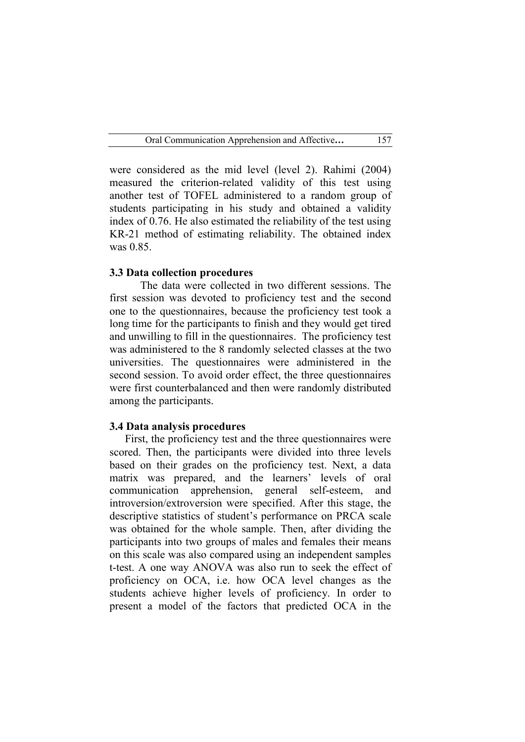were considered as the mid level (level 2). Rahimi (2004) measured the criterion-related validity of this test using another test of TOFEL administered to a random group of students participating in his study and obtained a validity index of 0.76. He also estimated the reliability of the test using KR-21 method of estimating reliability. The obtained index was 0.85.

#### **3.3 Data collection procedures**

The data were collected in two different sessions. The first session was devoted to proficiency test and the second one to the questionnaires, because the proficiency test took a long time for the participants to finish and they would get tired and unwilling to fill in the questionnaires. The proficiency test was administered to the 8 randomly selected classes at the two universities. The questionnaires were administered in the second session. To avoid order effect, the three questionnaires were first counterbalanced and then were randomly distributed among the participants.

#### **3.4 Data analysis procedures**

First, the proficiency test and the three questionnaires were scored. Then, the participants were divided into three levels based on their grades on the proficiency test. Next, a data matrix was prepared, and the learners' levels of oral communication apprehension, general self-esteem, and introversion/extroversion were specified. After this stage, the descriptive statistics of student's performance on PRCA scale was obtained for the whole sample. Then, after dividing the participants into two groups of males and females their means on this scale was also compared using an independent samples t-test. A one way ANOVA was also run to seek the effect of proficiency on OCA, i.e. how OCA level changes as the students achieve higher levels of proficiency. In order to present a model of the factors that predicted OCA in the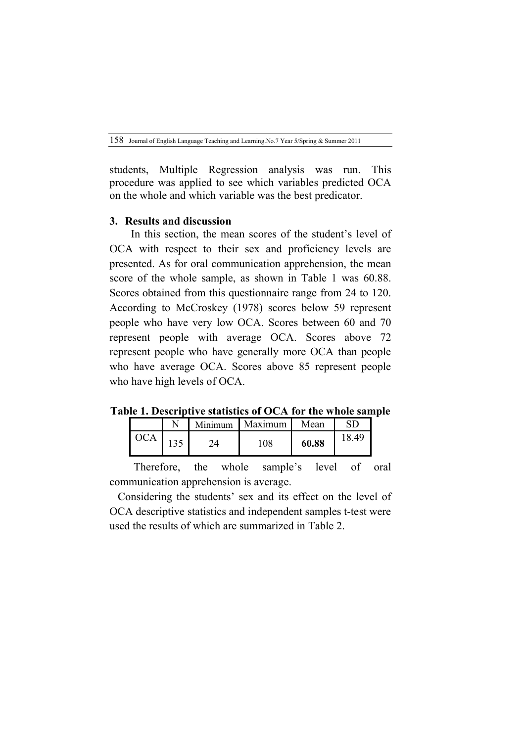students, Multiple Regression analysis was run. This procedure was applied to see which variables predicted OCA on the whole and which variable was the best predicator.

#### **3. Results and discussion**

In this section, the mean scores of the student's level of OCA with respect to their sex and proficiency levels are presented. As for oral communication apprehension, the mean score of the whole sample, as shown in Table 1 was 60.88. Scores obtained from this questionnaire range from 24 to 120. According to McCroskey (1978) scores below 59 represent people who have very low OCA. Scores between 60 and 70 represent people with average OCA. Scores above 72 represent people who have generally more OCA than people who have average OCA. Scores above 85 represent people who have high levels of OCA.

**Table 1. Descriptive statistics of OCA for the whole sample**

|     | Minimum | <b>Maximum</b> | Mean  |       |
|-----|---------|----------------|-------|-------|
| 125 |         | 108            | 60.88 | 18.49 |

Therefore, the whole sample's level of oral communication apprehension is average.

 Considering the students' sex and its effect on the level of OCA descriptive statistics and independent samples t-test were used the results of which are summarized in Table 2.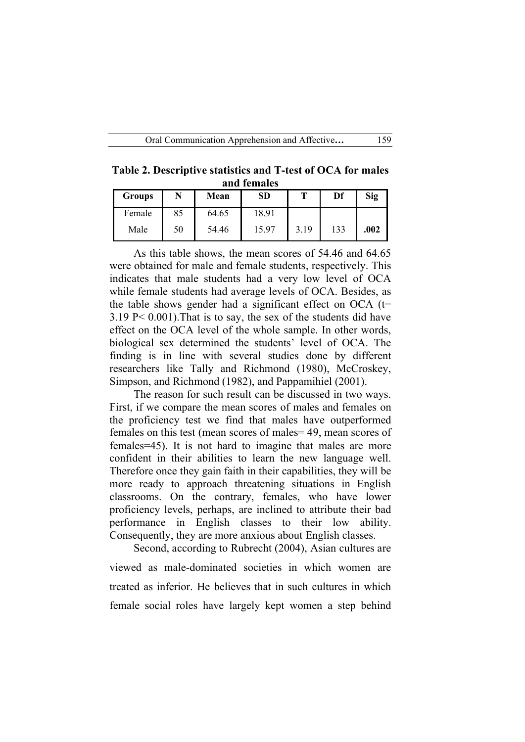**Table 2. Descriptive statistics and T-test of OCA for males and females**

| <b>Groups</b> | N  | Mean  | <b>SD</b> | т    | Df  | <b>Sig</b> |
|---------------|----|-------|-----------|------|-----|------------|
| Female        | 85 | 64.65 | 18.91     |      |     |            |
| Male          | 50 | 54.46 | 15.97     | 3.19 | 133 | .002       |

As this table shows, the mean scores of 54.46 and 64.65 were obtained for male and female students, respectively. This indicates that male students had a very low level of OCA while female students had average levels of OCA. Besides, as the table shows gender had a significant effect on OCA  $(t=$ 3.19 P< 0.001).That is to say, the sex of the students did have effect on the OCA level of the whole sample. In other words, biological sex determined the students' level of OCA. The finding is in line with several studies done by different researchers like Tally and Richmond (1980), McCroskey, Simpson, and Richmond (1982), and Pappamihiel (2001).

The reason for such result can be discussed in two ways. First, if we compare the mean scores of males and females on the proficiency test we find that males have outperformed females on this test (mean scores of males= 49, mean scores of females=45). It is not hard to imagine that males are more confident in their abilities to learn the new language well. Therefore once they gain faith in their capabilities, they will be more ready to approach threatening situations in English classrooms. On the contrary, females, who have lower proficiency levels, perhaps, are inclined to attribute their bad performance in English classes to their low ability. Consequently, they are more anxious about English classes.

Second, according to Rubrecht (2004), Asian cultures are viewed as male-dominated societies in which women are treated as inferior. He believes that in such cultures in which female social roles have largely kept women a step behind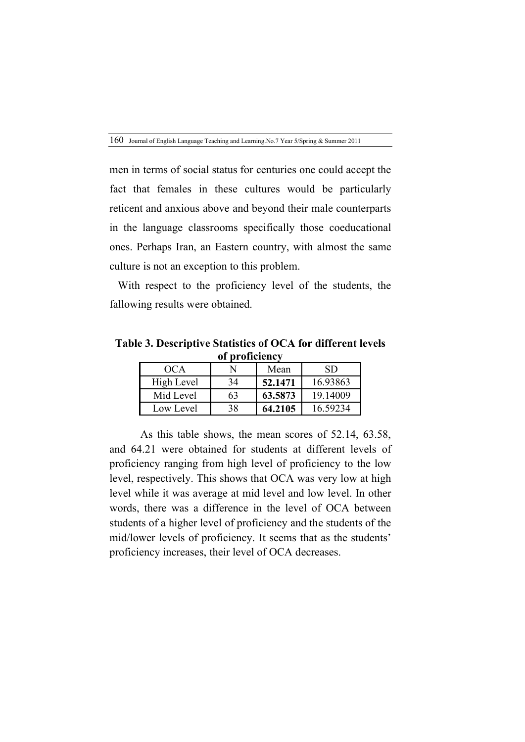men in terms of social status for centuries one could accept the fact that females in these cultures would be particularly reticent and anxious above and beyond their male counterparts in the language classrooms specifically those coeducational ones. Perhaps Iran, an Eastern country, with almost the same culture is not an exception to this problem.

 With respect to the proficiency level of the students, the fallowing results were obtained.

**Table 3. Descriptive Statistics of OCA for different levels of proficiency**

| OCA        |    | Mean    | SD       |  |  |  |  |
|------------|----|---------|----------|--|--|--|--|
| High Level | 34 | 52.1471 | 16.93863 |  |  |  |  |
| Mid Level  | 63 | 63.5873 | 19.14009 |  |  |  |  |
| Low Level  | 38 | 64.2105 | 16.59234 |  |  |  |  |

As this table shows, the mean scores of 52.14, 63.58, and 64.21 were obtained for students at different levels of proficiency ranging from high level of proficiency to the low level, respectively. This shows that OCA was very low at high level while it was average at mid level and low level. In other words, there was a difference in the level of OCA between students of a higher level of proficiency and the students of the mid/lower levels of proficiency. It seems that as the students' proficiency increases, their level of OCA decreases.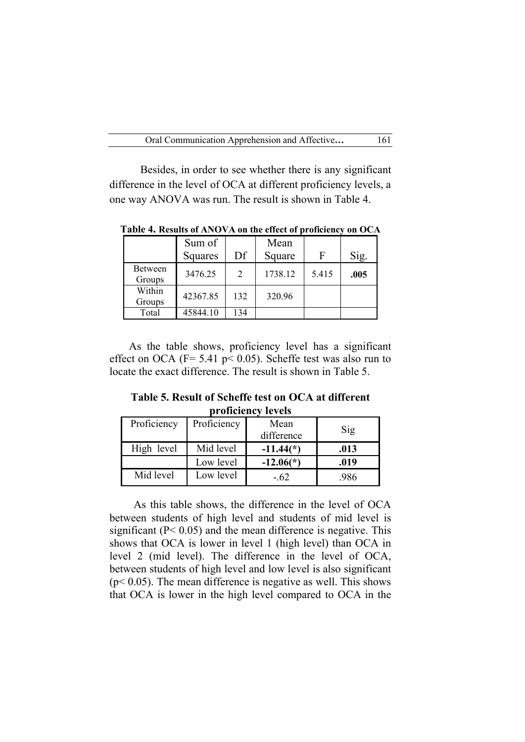Besides, in order to see whether there is any significant difference in the level of OCA at different proficiency levels, a one way ANOVA was run. The result is shown in Table 4.

|                          | Sum of<br>Squares | Df             | Mean<br>Square | F     | Sig. |
|--------------------------|-------------------|----------------|----------------|-------|------|
| <b>Between</b><br>Groups | 3476.25           | $\mathfrak{D}$ | 1738.12        | 5.415 | .005 |
| Within<br>Groups         | 42367.85          | 132            | 320.96         |       |      |
| Total                    | 45844.10          | 134            |                |       |      |

**Table 4. Results of ANOVA on the effect of proficiency on OCA**

 As the table shows, proficiency level has a significant effect on OCA ( $F = 5.41$  p $\leq 0.05$ ). Scheffe test was also run to locate the exact difference. The result is shown in Table 5.

**Table 5. Result of Scheffe test on OCA at different proficiency levels**

| Proficiency | Proficiency | Mean        | Sig  |
|-------------|-------------|-------------|------|
|             |             | difference  |      |
| High level  | Mid level   | $-11.44(*)$ | .013 |
|             | Low level   | $-12.06(*)$ | .019 |
| Mid level   | Low level   | $-62$       | .986 |

As this table shows, the difference in the level of OCA between students of high level and students of mid level is significant  $(P< 0.05)$  and the mean difference is negative. This shows that OCA is lower in level 1 (high level) than OCA in level 2 (mid level). The difference in the level of OCA, between students of high level and low level is also significant  $(p< 0.05)$ . The mean difference is negative as well. This shows that OCA is lower in the high level compared to OCA in the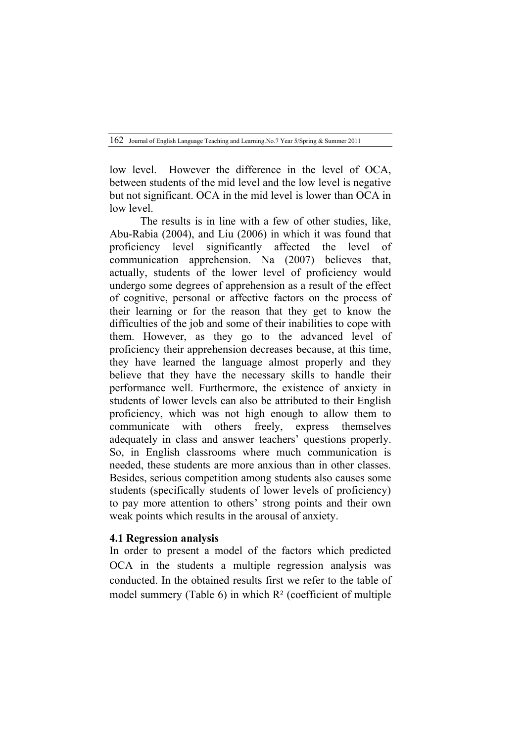low level. However the difference in the level of OCA, between students of the mid level and the low level is negative but not significant. OCA in the mid level is lower than OCA in low level.

The results is in line with a few of other studies, like, Abu-Rabia (2004), and Liu (2006) in which it was found that proficiency level significantly affected the level of communication apprehension. Na (2007) believes that, actually, students of the lower level of proficiency would undergo some degrees of apprehension as a result of the effect of cognitive, personal or affective factors on the process of their learning or for the reason that they get to know the difficulties of the job and some of their inabilities to cope with them. However, as they go to the advanced level of proficiency their apprehension decreases because, at this time, they have learned the language almost properly and they believe that they have the necessary skills to handle their performance well. Furthermore, the existence of anxiety in students of lower levels can also be attributed to their English proficiency, which was not high enough to allow them to communicate with others freely, express themselves adequately in class and answer teachers' questions properly. So, in English classrooms where much communication is needed, these students are more anxious than in other classes. Besides, serious competition among students also causes some students (specifically students of lower levels of proficiency) to pay more attention to others' strong points and their own weak points which results in the arousal of anxiety.

### **4.1 Regression analysis**

In order to present a model of the factors which predicted OCA in the students a multiple regression analysis was conducted. In the obtained results first we refer to the table of model summery (Table 6) in which R² (coefficient of multiple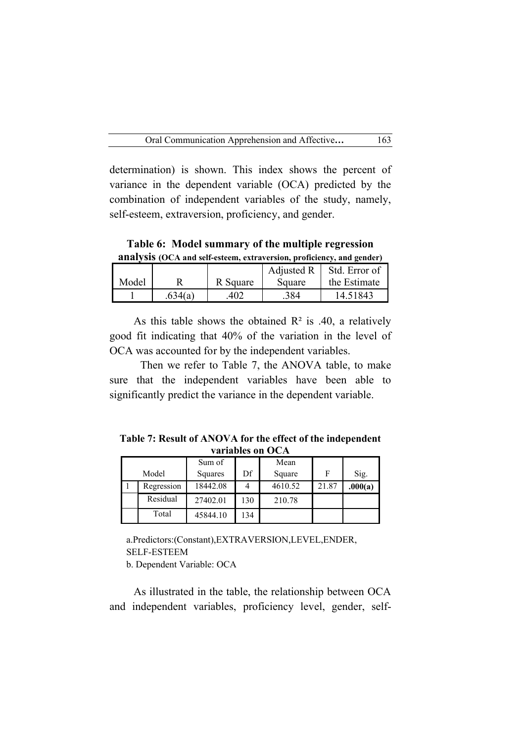determination) is shown. This index shows the percent of variance in the dependent variable (OCA) predicted by the combination of independent variables of the study, namely, self-esteem, extraversion, proficiency, and gender.

**Table 6: Model summary of the multiple regression analysis (OCA and self-esteem, extraversion, proficiency, and gender)**

| ------- |         |          |            |               |  |  |  |
|---------|---------|----------|------------|---------------|--|--|--|
|         |         |          | Adjusted R | Std. Error of |  |  |  |
| Model   |         | R Square | Square     | the Estimate  |  |  |  |
|         | .634(a) | 402      | 384        | 14.51843      |  |  |  |

As this table shows the obtained  $\mathbb{R}^2$  is .40, a relatively good fit indicating that 40% of the variation in the level of OCA was accounted for by the independent variables.

Then we refer to Table 7, the ANOVA table, to make sure that the independent variables have been able to significantly predict the variance in the dependent variable.

**Table 7: Result of ANOVA for the effect of the independent variables on OCA**

|            | Sum of   |     | Mean    |       |         |
|------------|----------|-----|---------|-------|---------|
| Model      | Squares  | Df  | Square  | F     | Sig.    |
| Regression | 18442.08 |     | 4610.52 | 21.87 | .000(a) |
| Residual   | 27402.01 | 130 | 210.78  |       |         |
| Total      | 45844.10 | 134 |         |       |         |

a.Predictors:(Constant),EXTRAVERSION,LEVEL,ENDER, SELF-ESTEEM b. Dependent Variable: OCA

As illustrated in the table, the relationship between OCA and independent variables, proficiency level, gender, self-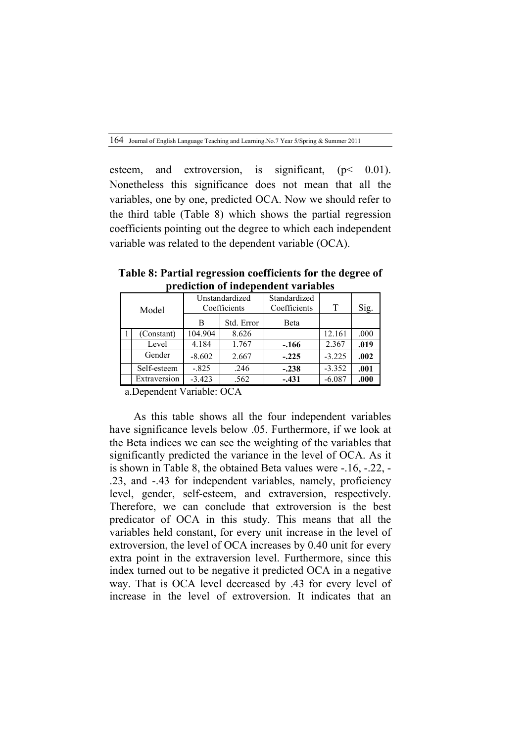esteem, and extroversion, is significant,  $(p< 0.01)$ . Nonetheless this significance does not mean that all the variables, one by one, predicted OCA. Now we should refer to the third table (Table 8) which shows the partial regression coefficients pointing out the degree to which each independent variable was related to the dependent variable (OCA).

**Table 8: Partial regression coefficients for the degree of prediction of independent variables**

| Model |              |          | Unstandardized<br>Coefficients | Standardized<br>Coefficients | T        | Sig. |
|-------|--------------|----------|--------------------------------|------------------------------|----------|------|
|       |              | B        | Std. Error                     | Beta                         |          |      |
|       | (Constant)   | 104.904  | 8.626                          |                              | 12.161   | .000 |
|       | Level        | 4.184    | 1.767                          | $-.166$                      | 2.367    | .019 |
|       | Gender       | $-8.602$ | 2.667                          | $-.225$                      | $-3.225$ | .002 |
|       | Self-esteem  | $-.825$  | .246                           | $-.238$                      | $-3.352$ | .001 |
|       | Extraversion | $-3.423$ | .562                           | $-.431$                      | $-6.087$ | .000 |

a.Dependent Variable: OCA

As this table shows all the four independent variables have significance levels below 05. Furthermore, if we look at the Beta indices we can see the weighting of the variables that significantly predicted the variance in the level of OCA. As it is shown in Table 8, the obtained Beta values were -.16, -.22, - .23, and -.43 for independent variables, namely, proficiency level, gender, self-esteem, and extraversion, respectively. Therefore, we can conclude that extroversion is the best predicator of OCA in this study. This means that all the variables held constant, for every unit increase in the level of extroversion, the level of OCA increases by 0.40 unit for every extra point in the extraversion level. Furthermore, since this index turned out to be negative it predicted OCA in a negative way. That is OCA level decreased by .43 for every level of increase in the level of extroversion. It indicates that an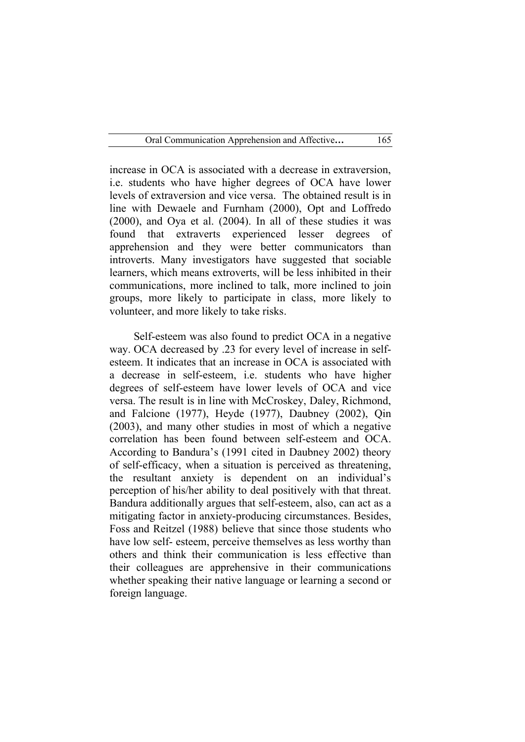increase in OCA is associated with a decrease in extraversion, i.e. students who have higher degrees of OCA have lower levels of extraversion and vice versa. The obtained result is in line with Dewaele and Furnham (2000), Opt and Loffredo (2000), and Oya et al. (2004). In all of these studies it was found that extraverts experienced lesser degrees of apprehension and they were better communicators than introverts. Many investigators have suggested that sociable learners, which means extroverts, will be less inhibited in their communications, more inclined to talk, more inclined to join groups, more likely to participate in class, more likely to volunteer, and more likely to take risks.

Self-esteem was also found to predict OCA in a negative way. OCA decreased by .23 for every level of increase in selfesteem. It indicates that an increase in OCA is associated with a decrease in self-esteem, i.e. students who have higher degrees of self-esteem have lower levels of OCA and vice versa. The result is in line with McCroskey, Daley, Richmond, and Falcione (1977), Heyde (1977), Daubney (2002), Qin (2003), and many other studies in most of which a negative correlation has been found between self-esteem and OCA. According to Bandura's (1991 cited in Daubney 2002) theory of self-efficacy, when a situation is perceived as threatening, the resultant anxiety is dependent on an individual's perception of his/her ability to deal positively with that threat. Bandura additionally argues that self-esteem, also, can act as a mitigating factor in anxiety-producing circumstances. Besides, Foss and Reitzel (1988) believe that since those students who have low self- esteem, perceive themselves as less worthy than others and think their communication is less effective than their colleagues are apprehensive in their communications whether speaking their native language or learning a second or foreign language.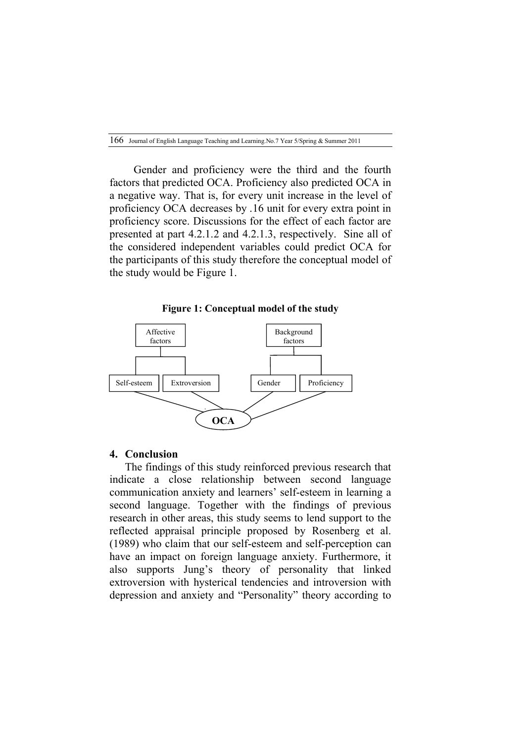Gender and proficiency were the third and the fourth factors that predicted OCA. Proficiency also predicted OCA in a negative way. That is, for every unit increase in the level of proficiency OCA decreases by .16 unit for every extra point in proficiency score. Discussions for the effect of each factor are presented at part 4.2.1.2 and 4.2.1.3, respectively. Sine all of the considered independent variables could predict OCA for the participants of this study therefore the conceptual model of the study would be Figure 1.

**Figure 1: Conceptual model of the study**



#### **4. Conclusion**

The findings of this study reinforced previous research that indicate a close relationship between second language communication anxiety and learners' self-esteem in learning a second language. Together with the findings of previous research in other areas, this study seems to lend support to the reflected appraisal principle proposed by Rosenberg et al. (1989) who claim that our self-esteem and self-perception can have an impact on foreign language anxiety. Furthermore, it also supports Jung's theory of personality that linked extroversion with hysterical tendencies and introversion with depression and anxiety and "Personality" theory according to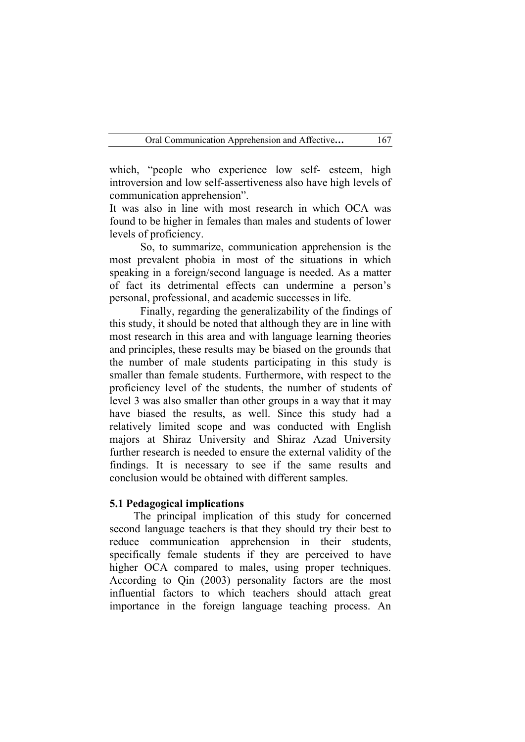which, "people who experience low self- esteem, high introversion and low self-assertiveness also have high levels of communication apprehension".

It was also in line with most research in which OCA was found to be higher in females than males and students of lower levels of proficiency.

So, to summarize, communication apprehension is the most prevalent phobia in most of the situations in which speaking in a foreign/second language is needed. As a matter of fact its detrimental effects can undermine a person's personal, professional, and academic successes in life.

Finally, regarding the generalizability of the findings of this study, it should be noted that although they are in line with most research in this area and with language learning theories and principles, these results may be biased on the grounds that the number of male students participating in this study is smaller than female students. Furthermore, with respect to the proficiency level of the students, the number of students of level 3 was also smaller than other groups in a way that it may have biased the results, as well. Since this study had a relatively limited scope and was conducted with English majors at Shiraz University and Shiraz Azad University further research is needed to ensure the external validity of the findings. It is necessary to see if the same results and conclusion would be obtained with different samples.

#### **5.1 Pedagogical implications**

The principal implication of this study for concerned second language teachers is that they should try their best to reduce communication apprehension in their students, specifically female students if they are perceived to have higher OCA compared to males, using proper techniques. According to Qin (2003) personality factors are the most influential factors to which teachers should attach great importance in the foreign language teaching process. An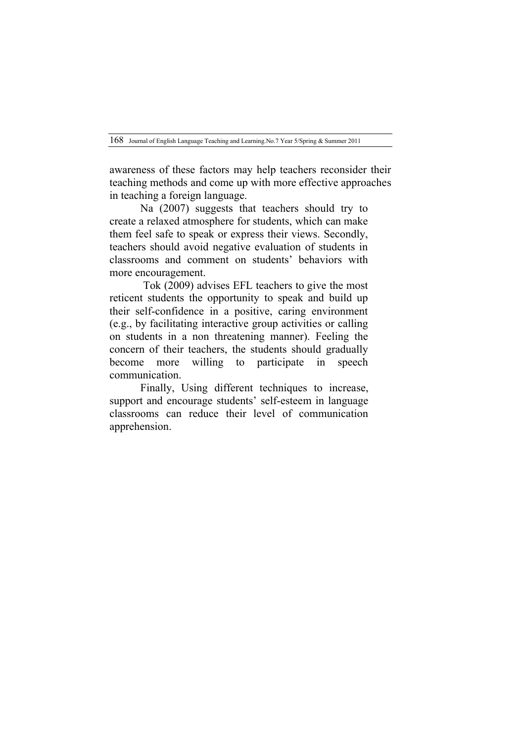awareness of these factors may help teachers reconsider their teaching methods and come up with more effective approaches in teaching a foreign language.

Na (2007) suggests that teachers should try to create a relaxed atmosphere for students, which can make them feel safe to speak or express their views. Secondly, teachers should avoid negative evaluation of students in classrooms and comment on students' behaviors with more encouragement.

Tok (2009) advises EFL teachers to give the most reticent students the opportunity to speak and build up their self-confidence in a positive, caring environment (e.g., by facilitating interactive group activities or calling on students in a non threatening manner). Feeling the concern of their teachers, the students should gradually become more willing to participate in speech communication.

Finally, Using different techniques to increase, support and encourage students' self-esteem in language classrooms can reduce their level of communication apprehension.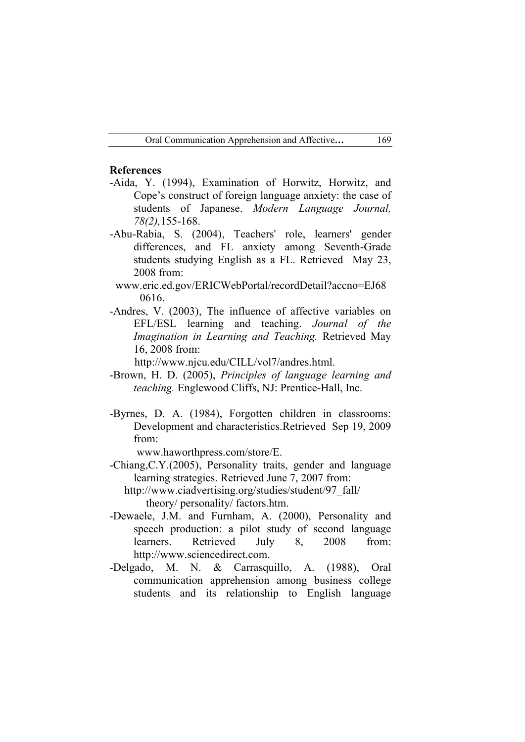### **References**

- -Aida, Y. (1994), Examination of Horwitz, Horwitz, and Cope's construct of foreign language anxiety: the case of students of Japanese. *Modern Language Journal, 78(2),*155-168.
- -Abu-Rabia, S. (2004), Teachers' role, learners' gender differences, and FL anxiety among Seventh-Grade students studying English as a FL. Retrieved May 23, 2008 from:
	- www.eric.ed.gov/ERICWebPortal/recordDetail?accno=EJ68 0616.
- -Andres, V. (2003), The influence of affective variables on EFL/ESL learning and teaching. *Journal of the Imagination in Learning and Teaching.* Retrieved May 16, 2008 from:

http://www.njcu.edu/CILL/vol7/andres.html.

- -Brown, H. D. (2005), *Principles of language learning and teaching.* Englewood Cliffs, NJ: Prentice-Hall, Inc.
- -Byrnes, D. A. (1984), Forgotten children in classrooms: Development and characteristics.Retrieved Sep 19, 2009 from:

www.haworthpress.com/store/E.

- -Chiang,C.Y.(2005), Personality traits, gender and language learning strategies. Retrieved June 7, 2007 from:
	- http://www.ciadvertising.org/studies/student/97\_fall/ theory/ personality/ factors.htm.
- -Dewaele, J.M. and Furnham, A. (2000), Personality and speech production: a pilot study of second language learners. Retrieved July 8, 2008 from: http://www.sciencedirect.com.
- -Delgado, M. N. & Carrasquillo, A. (1988), Oral communication apprehension among business college students and its relationship to English language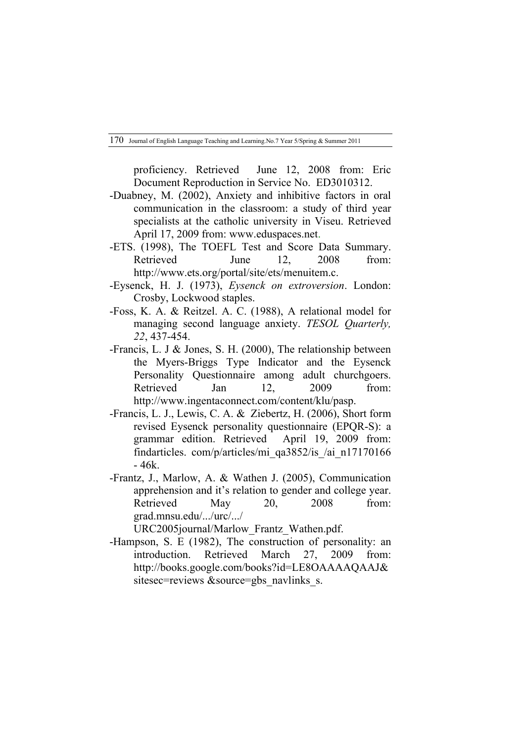proficiency. Retrieved June 12, 2008 from: Eric Document Reproduction in Service No. ED3010312.

- -Duabney, M. (2002), Anxiety and inhibitive factors in oral communication in the classroom: a study of third year specialists at the catholic university in Viseu. Retrieved April 17, 2009 from: www.eduspaces.net.
- -ETS. (1998), The TOEFL Test and Score Data Summary. Retrieved June 12, 2008 from: http://www.ets.org/portal/site/ets/menuitem.c.
- -Eysenck, H. J. (1973), *Eysenck on extroversion*. London: Crosby, Lockwood staples.
- -Foss, K. A. & Reitzel. A. C. (1988), A relational model for managing second language anxiety. *TESOL Quarterly, 22*, 437-454.
- -Francis, L. J & Jones, S. H. (2000), The relationship between the Myers-Briggs Type Indicator and the Eysenck Personality Questionnaire among adult churchgoers. Retrieved Jan 12, 2009 from: http://www.ingentaconnect.com/content/klu/pasp.
- -Francis, L. J., Lewis, C. A. & Ziebertz, H. (2006), Short form revised Eysenck personality questionnaire (EPQR-S): a grammar edition. Retrieved April 19, 2009 from: findarticles. com/p/articles/mi\_qa3852/is\_/ai\_n17170166 - 46k.
- -Frantz, J., Marlow, A. & Wathen J. (2005), Communication apprehension and it's relation to gender and college year. Retrieved May 20, 2008 from: grad.mnsu.edu/.../urc/.../

URC2005journal/Marlow\_Frantz\_Wathen.pdf.

-Hampson, S. E (1982), The construction of personality: an introduction. Retrieved March 27, 2009 from: http://books.google.com/books?id=LE8OAAAAQAAJ& sitesec=reviews &source=gbs\_navlinks\_s.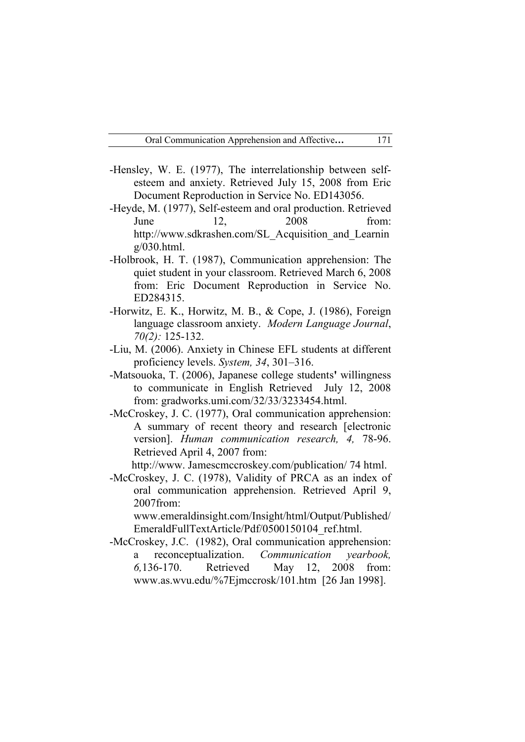- -Hensley, W. E. (1977), The interrelationship between selfesteem and anxiety. Retrieved July 15, 2008 from Eric Document Reproduction in Service No. ED143056.
- -Heyde, M. (1977), Self-esteem and oral production. Retrieved June 12, 2008 from: http://www.sdkrashen.com/SL\_Acquisition\_and\_Learnin  $g/030$ .html.
- -Holbrook, H. T. (1987), Communication apprehension: The quiet student in your classroom. Retrieved March 6, 2008 from: Eric Document Reproduction in Service No. ED284315.
- -Horwitz, E. K., Horwitz, M. B., & Cope, J. (1986), Foreign language classroom anxiety. *Modern Language Journal*, *70(2):* 125-132.
- -Liu, M. (2006). Anxiety in Chinese EFL students at different proficiency levels. *System, 34*, 301–316.
- -Matsouoka, T. (2006), Japanese college students**'** willingness to communicate in English Retrieved July 12, 2008 from: gradworks.umi.com/32/33/3233454.html.
- -McCroskey, J. C. (1977), Oral communication apprehension: A summary of recent theory and research [electronic version]. *Human communication research, 4,* 78-96. Retrieved April 4, 2007 from:

http://www. Jamescmccroskey.com/publication/ 74 html.

-McCroskey, J. C. (1978), Validity of PRCA as an index of oral communication apprehension. Retrieved April 9, 2007from:

www.emeraldinsight.com/Insight/html/Output/Published/ EmeraldFullTextArticle/Pdf/0500150104\_ref.html.

-McCroskey, J.C. (1982), Oral communication apprehension: a reconceptualization. *Communication yearbook, 6,*136-170. Retrieved May 12, 2008 from: www.as.wvu.edu/%7Ejmccrosk/101.htm [26 Jan 1998].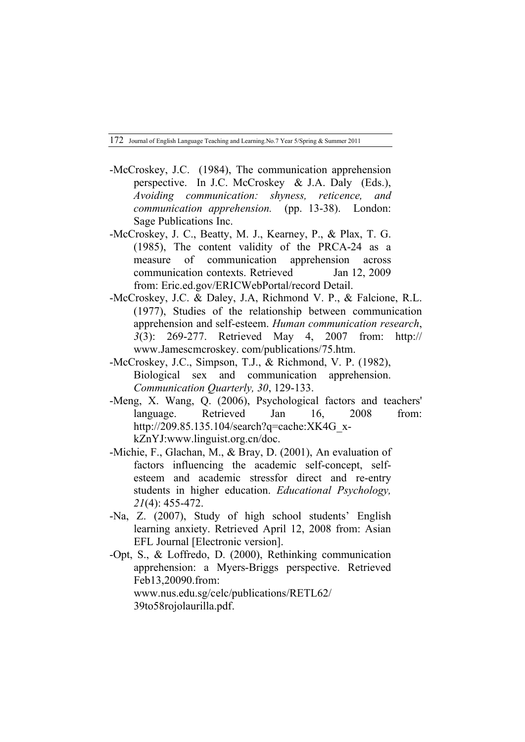- -McCroskey, J.C. (1984), The communication apprehension perspective. In J.C. McCroskey & J.A. Daly (Eds.), *Avoiding communication: shyness, reticence, and communication apprehension.* (pp. 13-38). London: Sage Publications Inc.
- -McCroskey, J. C., Beatty, M. J., Kearney, P., & Plax, T. G. (1985), The content validity of the PRCA-24 as a measure of communication apprehension across communication contexts. Retrieved Jan 12, 2009 from: Eric.ed.gov/ERICWebPortal/record Detail.
- -McCroskey, J.C. & Daley, J.A, Richmond V. P., & Falcione, R.L. (1977), Studies of the relationship between communication apprehension and self-esteem. *Human communication research*, *3*(3): 269-277. Retrieved May 4, 2007 from: http:// www.Jamescmcroskey. com/publications/75.htm.
- -McCroskey, J.C., Simpson, T.J., & Richmond, V. P. (1982), Biological sex and communication apprehension. *Communication Quarterly, 30*, 129-133.
- -Meng, X. Wang, Q. (2006), Psychological factors and teachers' language. Retrieved Jan 16, 2008 from: http://209.85.135.104/search?q=cache:XK4G\_xkZnYJ:www.linguist.org.cn/doc.
- -Michie, F., Glachan, M., & Bray, D. (2001), An evaluation of factors influencing the academic self-concept, selfesteem and academic stressfor direct and re-entry students in higher education. *Educational Psychology, 21*(4): 455-472.
- -Na, Z. (2007), Study of high school students' English learning anxiety. Retrieved April 12, 2008 from: Asian EFL Journal [Electronic version].
- -Opt, S., & Loffredo, D. (2000), Rethinking communication apprehension: a Myers-Briggs perspective. Retrieved Feb13,20090.from: www.nus.edu.sg/celc/publications/RETL62/ 39to58rojolaurilla.pdf.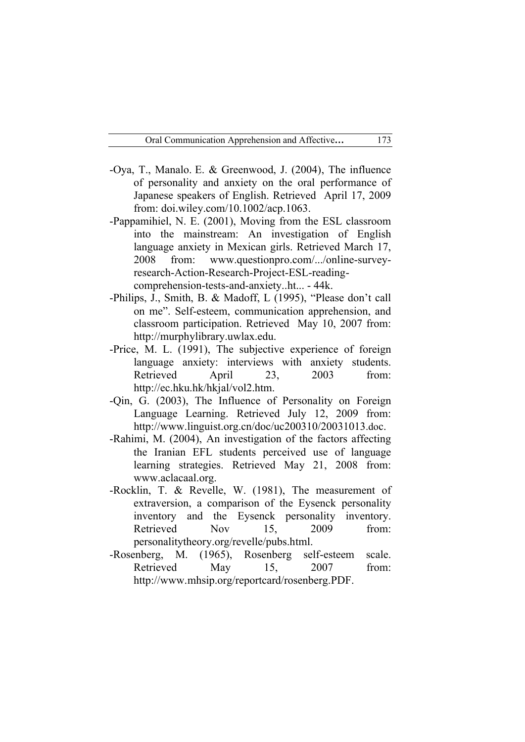- -Oya, T., Manalo. E. & Greenwood, J. (2004), The influence of personality and anxiety on the oral performance of Japanese speakers of English. Retrieved April 17, 2009 from: doi.wiley.com/10.1002/acp.1063.
- -Pappamihiel, N. E. (2001), Moving from the ESL classroom into the mainstream: An investigation of English language anxiety in Mexican girls. Retrieved March 17, 2008 from: www.questionpro.com/.../online-surveyresearch-Action-Research-Project-ESL-readingcomprehension-tests-and-anxiety..ht... - 44k.
- -Philips, J., Smith, B. & Madoff, L (1995), "Please don't call on me". Self-esteem, communication apprehension, and classroom participation. Retrieved May 10, 2007 from: http://murphylibrary.uwlax.edu.
- -Price, M. L. (1991), The subjective experience of foreign language anxiety: interviews with anxiety students. Retrieved April 23, 2003 from: http://ec.hku.hk/hkjal/vol2.htm.
- -Qin, G. (2003), The Influence of Personality on Foreign Language Learning. Retrieved July 12, 2009 from: http://www.linguist.org.cn/doc/uc200310/20031013.doc.
- -Rahimi, M. (2004), An investigation of the factors affecting the Iranian EFL students perceived use of language learning strategies. Retrieved May 21, 2008 from: www.aclacaal.org.
- -Rocklin, T. & Revelle, W. (1981), The measurement of extraversion, a comparison of the Eysenck personality inventory and the Eysenck personality inventory. Retrieved Nov 15, 2009 from: personalitytheory.org/revelle/pubs.html.
- -Rosenberg, M. (1965), Rosenberg self-esteem scale. Retrieved May 15, 2007 from: http://www.mhsip.org/reportcard/rosenberg.PDF.